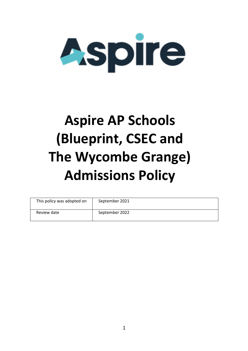

# **Aspire AP Schools (Blueprint, CSEC and The Wycombe Grange) Admissions Policy**

| This policy was adopted on | September 2021 |
|----------------------------|----------------|
| Review date                | September 2022 |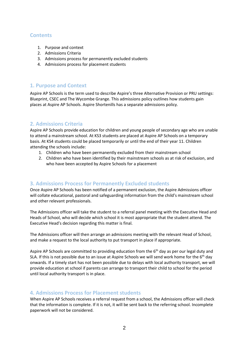## **Contents**

- 1. Purpose and context
- 2. Admissions Criteria
- 3. Admissions process for permanently excluded students
- 4. Admissions process for placement students

## **1. Purpose and Context**

Aspire AP Schools is the term used to describe Aspire's three Alternative Provision or PRU settings: Blueprint, CSEC and The Wycombe Grange. This admissions policy outlines how students gain places at Aspire AP Schools. Aspire Shortenills has a separate admissions policy.

## **2. Admissions Criteria**

Aspire AP Schools provide education for children and young people of secondary age who are unable to attend a mainstream school. At KS3 students are placed at Aspire AP Schools on a temporary basis. At KS4 students could be placed temporarily or until the end of their year 11. Children attending the schools include:

- 1. Children who have been permanently excluded from their mainstream school
- 2. Children who have been identified by their mainstream schools as at risk of exclusion, and who have been accepted by Aspire Schools for a placement

## **3. Admissions Process for Permanently Excluded students**

Once Aspire AP Schools has been notified of a permanent exclusion, the Aspire Admissions officer will collate educational, pastoral and safeguarding information from the child's mainstream school and other relevant professionals.

The Admissions officer will take the student to a referral panel meeting with the Executive Head and Heads of School, who will decide which school it is most appropriate that the student attend. The Executive Head's decision regarding this matter is final.

The Admissions officer will then arrange an admissions meeting with the relevant Head of School, and make a request to the local authority to put transport in place if appropriate.

Aspire AP Schools are committed to providing education from the  $6<sup>th</sup>$  day as per our legal duty and SLA. If this is not possible due to an issue at Aspire Schools we will send work home for the  $6<sup>th</sup>$  day onwards. If a timely start has not been possible due to delays with local authority transport, we will provide education at school if parents can arrange to transport their child to school for the period until local authority transport is in place.

## **4. Admissions Process for Placement students**

When Aspire AP Schools receives a referral request from a school, the Admissions officer will check that the information is complete. If it is not, it will be sent back to the referring school. Incomplete paperwork will not be considered.